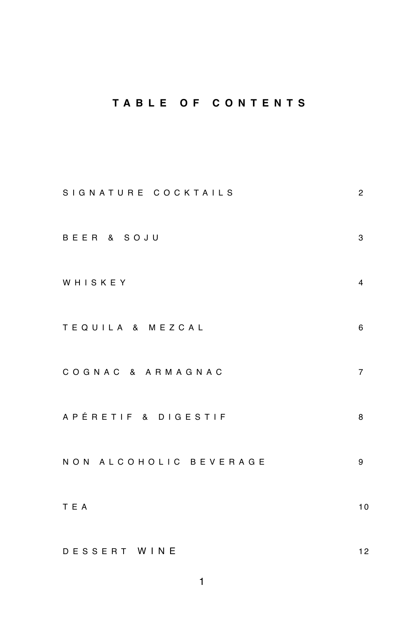# **TABLE OF CONTENTS**

| SIGNATURE COCKTAILS    | 2                       |
|------------------------|-------------------------|
| BEER & SOJU            | 3                       |
| WHISKEY                | $\overline{\mathbf{4}}$ |
| TEQUILA & MEZCAL       | 6                       |
| COGNAC & ARMAGNAC      | $\overline{7}$          |
| APÉRETIF & DIGESTIF    | 8                       |
| NON ALCOHOLIC BEVERAGE | 9                       |
| T E A                  | 10                      |
| DESSERT WINE           | 12                      |

1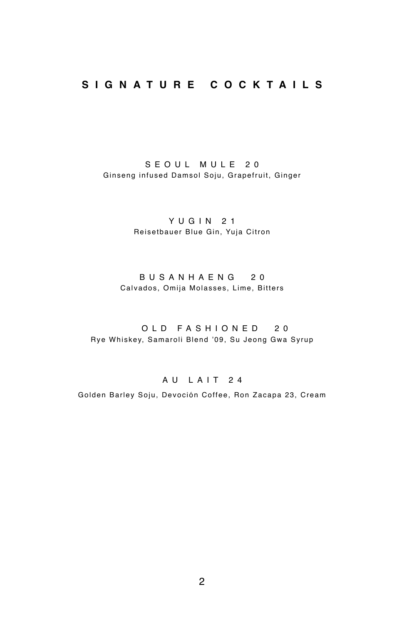## **SIGNATURE COCKTAILS**

SEOUL MULE 20 Ginseng infused Damsol Soju, Grapefruit, Ginger

> YUGIN 21 Reisetbauer Blue Gin, Yuja Citron

#### BUSANHAENG 20 Calvados, Omija Molasses, Lime, Bitters

 OLD FASHIONED 20 Rye Whiskey, Samaroli Blend '09, Su Jeong Gwa Syrup

## AU LAIT 24

Golden Barley Soju, Devoción Coffee, Ron Zacapa 23, Cream

2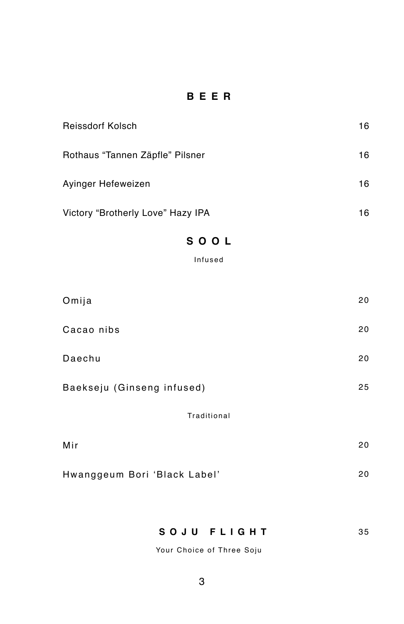# **BEER**

| Reissdorf Kolsch                  | 16 |
|-----------------------------------|----|
| Rothaus "Tannen Zäpfle" Pilsner   | 16 |
| Avinger Hefeweizen                | 16 |
| Victory "Brotherly Love" Hazy IPA | 16 |

## **SOOL**

Infused

| Omija                      | 20 |
|----------------------------|----|
| Cacao nibs                 | 20 |
| Daechu                     | 20 |
| Baekseju (Ginseng infused) | 25 |
| Traditional                |    |
| Mir                        | 20 |

SOJU FLIGHT 35

Your Choice of Three Soju

Hwanggeum Bori 'Black Label' 20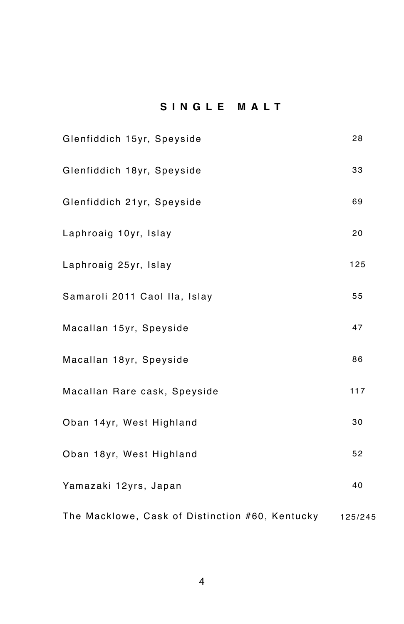# **SINGLE MALT**

| Glenfiddich 15yr, Speyside                      | 28      |
|-------------------------------------------------|---------|
| Glenfiddich 18yr, Speyside                      | 33      |
| Glenfiddich 21yr, Speyside                      | 69      |
| Laphroaig 10yr, Islay                           | 20      |
| Laphroaig 25yr, Islay                           | 125     |
| Samaroli 2011 Caol IIa, Islay                   | 55      |
| Macallan 15yr, Speyside                         | 47      |
| Macallan 18yr, Speyside                         | 86      |
| Macallan Rare cask, Speyside                    | 117     |
| Oban 14yr, West Highland                        | 30      |
| Oban 18yr, West Highland                        | 52      |
| Yamazaki 12yrs, Japan                           | 40      |
| The Macklowe, Cask of Distinction #60, Kentucky | 125/245 |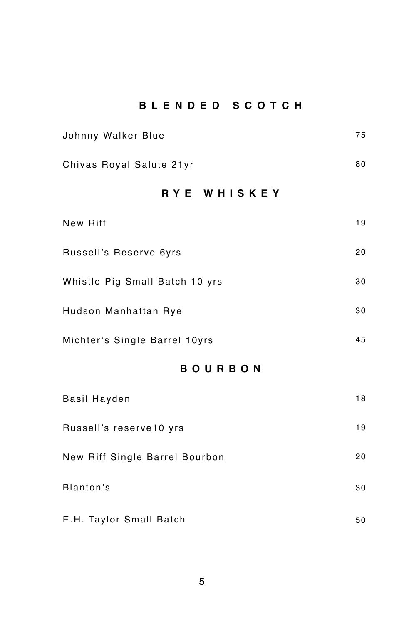# **BLENDED SCOTCH**

| Johnny Walker Blue             | 75 |  |
|--------------------------------|----|--|
| Chivas Royal Salute 21yr       | 80 |  |
| RYE WHISKEY                    |    |  |
| New Riff                       | 19 |  |
| Russell's Reserve 6yrs         | 20 |  |
| Whistle Pig Small Batch 10 yrs | 30 |  |
| Hudson Manhattan Rye           | 30 |  |
| Michter's Single Barrel 10yrs  | 45 |  |
| <b>BOURBON</b>                 |    |  |
| <b>Basil Hayden</b>            | 18 |  |
| Russell's reserve10 yrs        | 19 |  |
| New Riff Single Barrel Bourbon | 20 |  |
| Blanton's                      | 30 |  |

E.H. Taylor Small Batch 50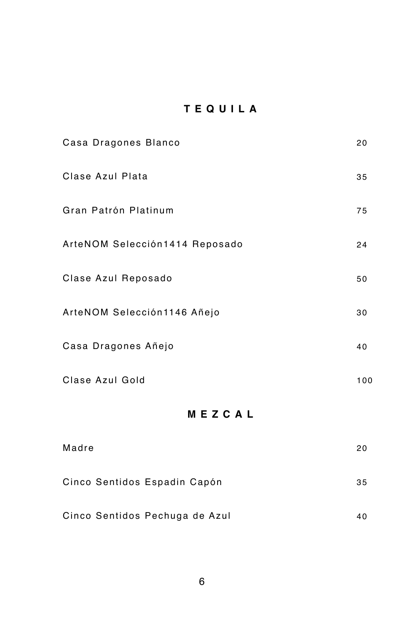# **TEQUILA**

| Casa Dragones Blanco           | 20  |
|--------------------------------|-----|
| Clase Azul Plata               | 35  |
| Gran Patrón Platinum           | 75  |
| ArteNOM Selección1414 Reposado | 24  |
| Clase Azul Reposado            | 50  |
| ArteNOM Selección1146 Añejo    | 30  |
| Casa Dragones Añejo            | 40  |
| Clase Azul Gold                | 100 |
| MEZCAL                         |     |
| <b>Madre</b>                   | 20  |
| Cinco Sentidos Espadin Capón   | 35  |

| 40 |
|----|
|    |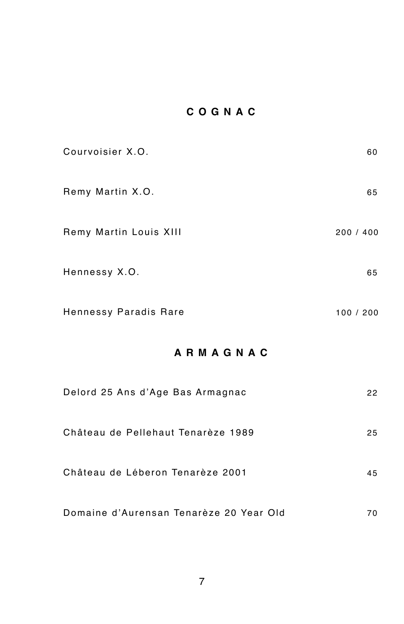# **COGNAC**

| Courvoisier X.O.       | 60        |
|------------------------|-----------|
| Remy Martin X.O.       | 65        |
| Remy Martin Louis XIII | 200 / 400 |
| Hennessy X.O.          | 65        |
| Hennessy Paradis Rare  | 100 / 200 |

# **ARMAGNAC**

| Delord 25 Ans d'Age Bas Armagnac        | 22  |
|-----------------------------------------|-----|
| Château de Pellehaut Tenarèze 1989      | 25  |
| Château de Léberon Tenarèze 2001        | 45  |
| Domaine d'Aurensan Tenarèze 20 Year Old | 70. |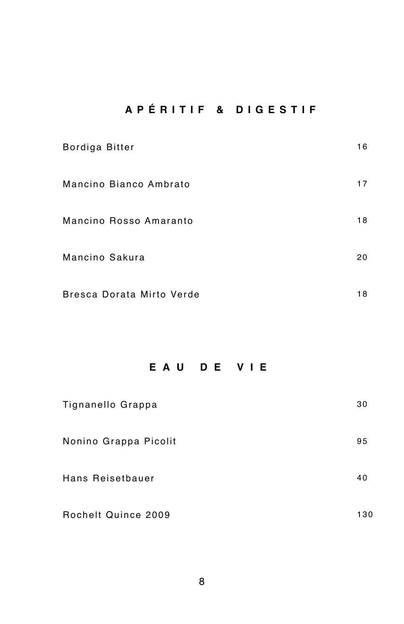# **APÉRITIF & DIGESTIF**

| Bordiga Bitter            | 16 |
|---------------------------|----|
| Mancino Bianco Ambrato    | 17 |
| Mancino Rosso Amaranto    | 18 |
| Mancino Sakura            | 20 |
| Bresca Dorata Mirto Verde | 18 |

# **EAU DE VIE**

| Tignanello Grappa     | 30  |
|-----------------------|-----|
| Nonino Grappa Picolit | 95  |
| Hans Reisetbauer      | 40  |
| Rochelt Quince 2009   | 130 |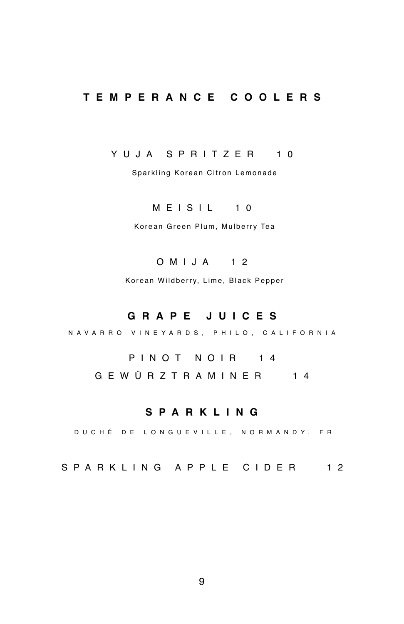## **TEMPERANCE COOLERS**

#### YUJA SPRITZER 10

Sparkling Korean Citron Lemonade

## MEISIL 10

Korean Green Plum, Mulberry Tea

#### OMIJA 12

Korean Wildberry, Lime, Black Pepper

### **GRAPE JUICES**

NAVARRO VINEYARDS, PHILO, CALIFORNIA

PINOT NOIR 14 GEWÜRZTRAMINER 14

## **SPARKLING**

DUCHÉ DE LONGUEVILLE, NORMANDY, FR

SPARKLING APPLE CIDER 12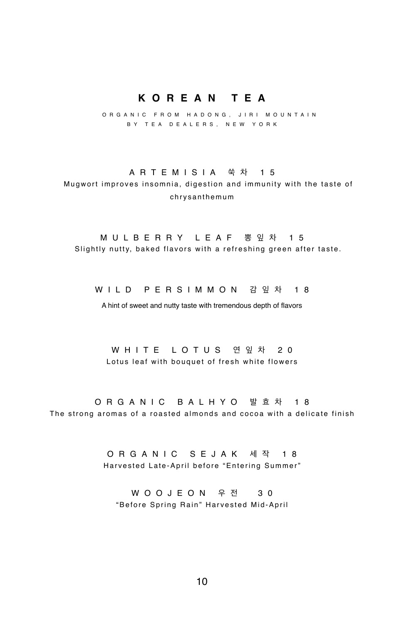## **KOREAN TEA**

 ORGANIC FROM HADONG, JIRI MOUNTAIN BY TEA DEALERS, NEW YORK

#### ARTEMISIA 쑥 차 15

 Mugwort improves insomnia, digestion and immunity with the taste of chrysanthemum

#### MULBERRY LEAF 뽕잎차 15

Slightly nutty, baked flavors with a refreshing green after taste.

WILD PERSIMMON 감잎차 18

A hint of sweet and nutty taste with tremendous depth of flavors

WHITE LOTUS 연잎차 20 Lotus leaf with bouquet of fresh white flowers

ORGANIC BALHYO 발효차 18 The strong aromas of a roasted almonds and cocoa with a delicate finish

> ORGANIC SEJAK 세작 18 Harvested Late-April before "Entering Summer"

WOOJEON 우 전 30 "Before Spring Rain" Harvested Mid-April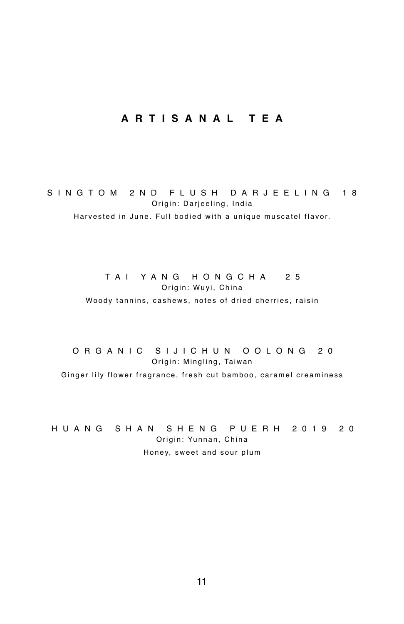## **ARTISANAL TEA**

SINGTOM 2ND FLUSH DARJEELING 18 Origin: Darjeeling, India Harvested in June. Full bodied with a unique muscatel flavor.

#### TAI YANG HONGCHA 25 Origin: Wuyi, China

Woody tannins, cashews, notes of dried cherries, raisin

ORGANIC SIJICHUN OOLONG 20 Origin: Mingling, Taiwan Ginger lily flower fragrance, fresh cut bamboo, caramel creaminess

HUANG SHAN SHENG PUERH 2019 20 Origin: Yunnan, China Honey, sweet and sour plum